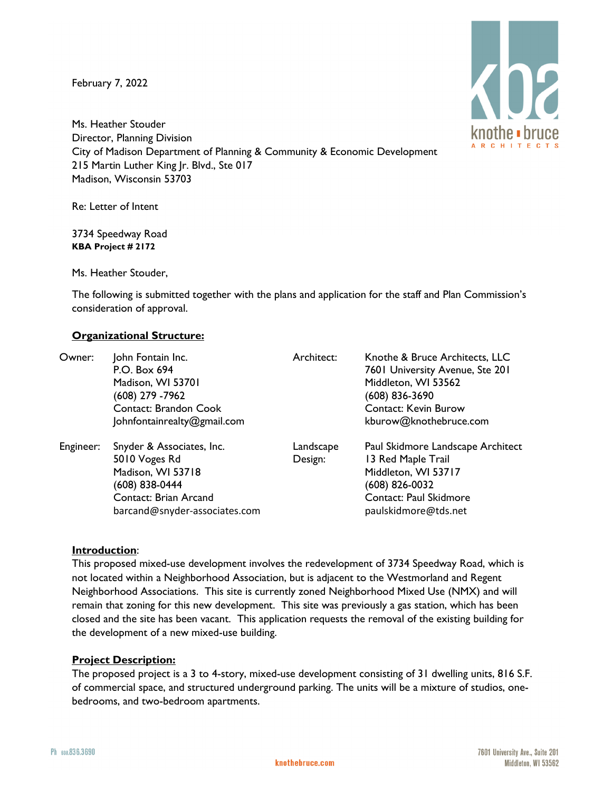February 7, 2022



Ms. Heather Stouder Director, Planning Division City of Madison Department of Planning & Community & Economic Development 215 Martin Luther King Jr. Blvd., Ste 017 Madison, Wisconsin 53703

Re: Letter of Intent

3734 Speedway Road **KBA Project # 2172**

Ms. Heather Stouder,

The following is submitted together with the plans and application for the staff and Plan Commission's consideration of approval.

# **Organizational Structure:**

| Owner:    | John Fontain Inc.<br>P.O. Box 694<br>Madison, WI 53701<br>$(608)$ 279 -7962<br><b>Contact: Brandon Cook</b><br>Johnfontainrealty@gmail.com  | Architect:           | Knothe & Bruce Architects, LLC<br>7601 University Avenue, Ste 201<br>Middleton, WI 53562<br>$(608)$ 836-3690<br><b>Contact: Kevin Burow</b><br>kburow@knothebruce.com |
|-----------|---------------------------------------------------------------------------------------------------------------------------------------------|----------------------|-----------------------------------------------------------------------------------------------------------------------------------------------------------------------|
| Engineer: | Snyder & Associates, Inc.<br>5010 Voges Rd<br>Madison, WI 53718<br>(608) 838-0444<br>Contact: Brian Arcand<br>barcand@snyder-associates.com | Landscape<br>Design: | Paul Skidmore Landscape Architect<br>13 Red Maple Trail<br>Middleton, WI 53717<br>$(608)$ 826-0032<br>Contact: Paul Skidmore<br>paulskidmore@tds.net                  |

# **Introduction**:

This proposed mixed-use development involves the redevelopment of 3734 Speedway Road, which is not located within a Neighborhood Association, but is adjacent to the Westmorland and Regent Neighborhood Associations. This site is currently zoned Neighborhood Mixed Use (NMX) and will remain that zoning for this new development. This site was previously a gas station, which has been closed and the site has been vacant. This application requests the removal of the existing building for the development of a new mixed-use building.

### **Project Description:**

The proposed project is a 3 to 4-story, mixed-use development consisting of 31 dwelling units, 816 S.F. of commercial space, and structured underground parking. The units will be a mixture of studios, onebedrooms, and two-bedroom apartments.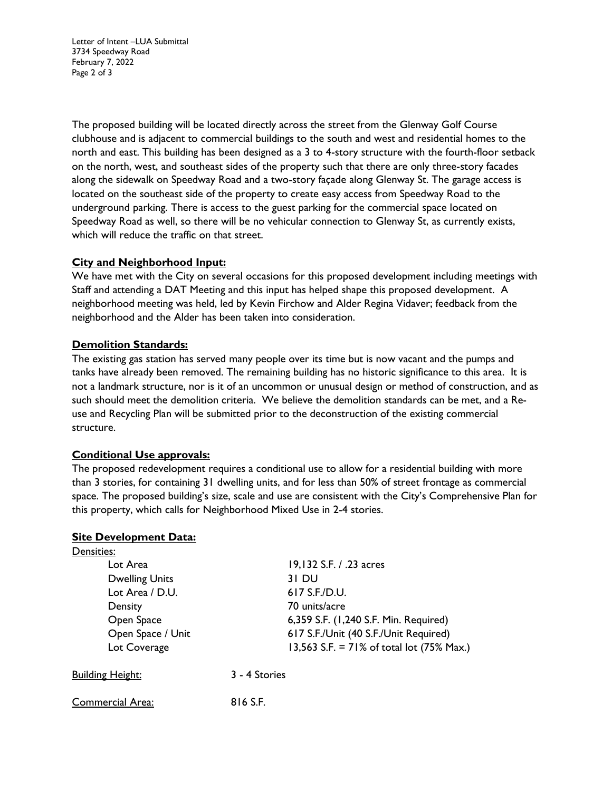Letter of Intent –LUA Submittal 3734 Speedway Road February 7, 2022 Page 2 of 3

The proposed building will be located directly across the street from the Glenway Golf Course clubhouse and is adjacent to commercial buildings to the south and west and residential homes to the north and east. This building has been designed as a 3 to 4-story structure with the fourth-floor setback on the north, west, and southeast sides of the property such that there are only three-story facades along the sidewalk on Speedway Road and a two-story façade along Glenway St. The garage access is located on the southeast side of the property to create easy access from Speedway Road to the underground parking. There is access to the guest parking for the commercial space located on Speedway Road as well, so there will be no vehicular connection to Glenway St, as currently exists, which will reduce the traffic on that street.

# **City and Neighborhood Input:**

We have met with the City on several occasions for this proposed development including meetings with Staff and attending a DAT Meeting and this input has helped shape this proposed development. A neighborhood meeting was held, led by Kevin Firchow and Alder Regina Vidaver; feedback from the neighborhood and the Alder has been taken into consideration.

# **Demolition Standards:**

The existing gas station has served many people over its time but is now vacant and the pumps and tanks have already been removed. The remaining building has no historic significance to this area. It is not a landmark structure, nor is it of an uncommon or unusual design or method of construction, and as such should meet the demolition criteria. We believe the demolition standards can be met, and a Reuse and Recycling Plan will be submitted prior to the deconstruction of the existing commercial structure.

# **Conditional Use approvals:**

The proposed redevelopment requires a conditional use to allow for a residential building with more than 3 stories, for containing 31 dwelling units, and for less than 50% of street frontage as commercial space. The proposed building's size, scale and use are consistent with the City's Comprehensive Plan for this property, which calls for Neighborhood Mixed Use in 2-4 stories.

# **Site Development Data:**

| Densities:              |                                              |
|-------------------------|----------------------------------------------|
| Lot Area                | 19,132 S.F. / .23 acres                      |
| <b>Dwelling Units</b>   | 31 DU                                        |
| Lot Area / D.U.         | 617 S.F./D.U.                                |
| Density                 | 70 units/acre                                |
| Open Space              | 6,359 S.F. (1,240 S.F. Min. Required)        |
| Open Space / Unit       | 617 S.F./Unit (40 S.F./Unit Required)        |
| Lot Coverage            | 13,563 S.F. = $71\%$ of total lot (75% Max.) |
| <b>Building Height:</b> | 3 - 4 Stories                                |
| Commercial Area:        | 816 S.F.                                     |